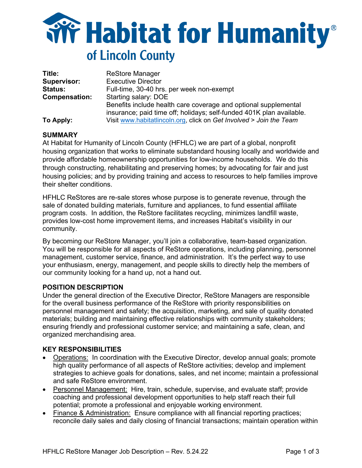

| Title:               | <b>ReStore Manager</b>                                               |
|----------------------|----------------------------------------------------------------------|
| <b>Supervisor:</b>   | <b>Executive Director</b>                                            |
| <b>Status:</b>       | Full-time, 30-40 hrs. per week non-exempt                            |
| <b>Compensation:</b> | Starting salary: DOE                                                 |
|                      | Benefits include health care coverage and optional supplemental      |
|                      | insurance; paid time off; holidays; self-funded 401K plan available. |
| To Apply:            | Visit www.habitatlincoln.org, click on Get Involved > Join the Team  |

### **SUMMARY**

At Habitat for Humanity of Lincoln County (HFHLC) we are part of a global, nonprofit housing organization that works to eliminate substandard housing locally and worldwide and provide affordable homeownership opportunities for low-income households. We do this through constructing, rehabilitating and preserving homes; by advocating for fair and just housing policies; and by providing training and access to resources to help families improve their shelter conditions.

HFHLC ReStores are re-sale stores whose purpose is to generate revenue, through the sale of donated building materials, furniture and appliances, to fund essential affiliate program costs. In addition, the ReStore facilitates recycling, minimizes landfill waste, provides low-cost home improvement items, and increases Habitat's visibility in our community.

By becoming our ReStore Manager, you'll join a collaborative, team-based organization. You will be responsible for all aspects of ReStore operations, including planning, personnel management, customer service, finance, and administration. It's the perfect way to use your enthusiasm, energy, management, and people skills to directly help the members of our community looking for a hand up, not a hand out.

#### **POSITION DESCRIPTION**

Under the general direction of the Executive Director, ReStore Managers are responsible for the overall business performance of the ReStore with priority responsibilities on personnel management and safety; the acquisition, marketing, and sale of quality donated materials; building and maintaining effective relationships with community stakeholders; ensuring friendly and professional customer service; and maintaining a safe, clean, and organized merchandising area.

### **KEY RESPONSIBILITIES**

- Operations: In coordination with the Executive Director, develop annual goals; promote high quality performance of all aspects of ReStore activities; develop and implement strategies to achieve goals for donations, sales, and net income; maintain a professional and safe ReStore environment.
- Personnel Management: Hire, train, schedule, supervise, and evaluate staff; provide coaching and professional development opportunities to help staff reach their full potential; promote a professional and enjoyable working environment.
- Finance & Administration: Ensure compliance with all financial reporting practices; reconcile daily sales and daily closing of financial transactions; maintain operation within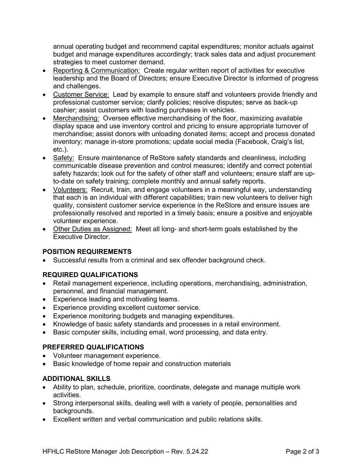annual operating budget and recommend capital expenditures; monitor actuals against budget and manage expenditures accordingly; track sales data and adjust procurement strategies to meet customer demand.

- Reporting & Communication: Create regular written report of activities for executive leadership and the Board of Directors; ensure Executive Director is informed of progress and challenges.
- Customer Service: Lead by example to ensure staff and volunteers provide friendly and professional customer service; clarify policies; resolve disputes; serve as back-up cashier; assist customers with loading purchases in vehicles.
- Merchandising: Oversee effective merchandising of the floor, maximizing available display space and use inventory control and pricing to ensure appropriate turnover of merchandise; assist donors with unloading donated items; accept and process donated inventory; manage in-store promotions; update social media (Facebook, Craig's list, etc.).
- Safety: Ensure maintenance of ReStore safety standards and cleanliness, including communicable disease prevention and control measures; identify and correct potential safety hazards; look out for the safety of other staff and volunteers; ensure staff are upto-date on safety training; complete monthly and annual safety reports.
- Volunteers: Recruit, train, and engage volunteers in a meaningful way, understanding that each is an individual with different capabilities; train new volunteers to deliver high quality, consistent customer service experience in the ReStore and ensure issues are professionally resolved and reported in a timely basis; ensure a positive and enjoyable volunteer experience.
- Other Duties as Assigned: Meet all long- and short-term goals established by the Executive Director.

# **POSITION REQUIREMENTS**

• Successful results from a criminal and sex offender background check.

# **REQUIRED QUALIFICATIONS**

- Retail management experience, including operations, merchandising, administration, personnel, and financial management.
- Experience leading and motivating teams.
- Experience providing excellent customer service.
- Experience monitoring budgets and managing expenditures.
- Knowledge of basic safety standards and processes in a retail environment.
- Basic computer skills, including email, word processing, and data entry.

# **PREFERRED QUALIFICATIONS**

- Volunteer management experience.
- Basic knowledge of home repair and construction materials

# **ADDITIONAL SKILLS**

- Ability to plan, schedule, prioritize, coordinate, delegate and manage multiple work activities.
- Strong interpersonal skills, dealing well with a variety of people, personalities and backgrounds.
- Excellent written and verbal communication and public relations skills.